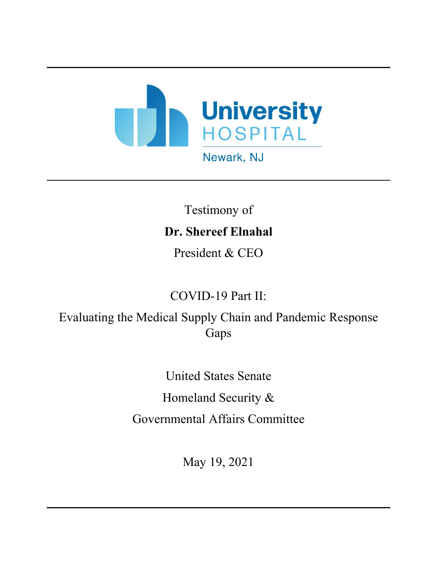

## Testimony of **Dr. Shereef Elnahal**

President & CEO

## COVID-19 Part II:

Evaluating the Medical Supply Chain and Pandemic Response Gaps

> United States Senate Homeland Security & Governmental Affairs Committee

> > May 19, 2021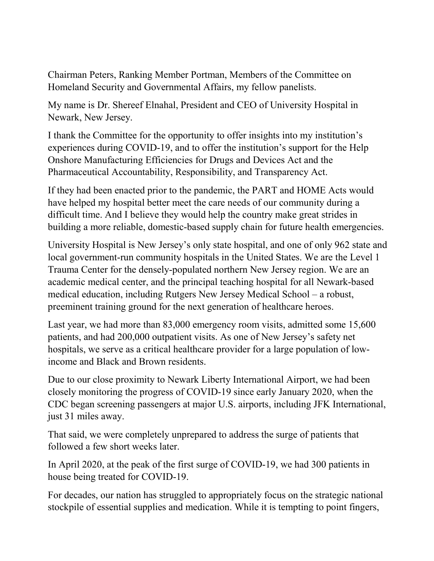Chairman Peters, Ranking Member Portman, Members of the Committee on Homeland Security and Governmental Affairs, my fellow panelists.

My name is Dr. Shereef Elnahal, President and CEO of University Hospital in Newark, New Jersey.

I thank the Committee for the opportunity to offer insights into my institution's experiences during COVID-19, and to offer the institution's support for the Help Onshore Manufacturing Efficiencies for Drugs and Devices Act and the Pharmaceutical Accountability, Responsibility, and Transparency Act.

If they had been enacted prior to the pandemic, the PART and HOME Acts would have helped my hospital better meet the care needs of our community during a difficult time. And I believe they would help the country make great strides in building a more reliable, domestic-based supply chain for future health emergencies.

University Hospital is New Jersey's only state hospital, and one of only 962 state and local government-run community hospitals in the United States. We are the Level 1 Trauma Center for the densely-populated northern New Jersey region. We are an academic medical center, and the principal teaching hospital for all Newark-based medical education, including Rutgers New Jersey Medical School – a robust, preeminent training ground for the next generation of healthcare heroes.

Last year, we had more than 83,000 emergency room visits, admitted some 15,600 patients, and had 200,000 outpatient visits. As one of New Jersey's safety net hospitals, we serve as a critical healthcare provider for a large population of lowincome and Black and Brown residents.

Due to our close proximity to Newark Liberty International Airport, we had been closely monitoring the progress of COVID-19 since early January 2020, when the CDC began screening passengers at major U.S. airports, including JFK International, just 31 miles away.

That said, we were completely unprepared to address the surge of patients that followed a few short weeks later.

In April 2020, at the peak of the first surge of COVID-19, we had 300 patients in house being treated for COVID-19.

For decades, our nation has struggled to appropriately focus on the strategic national stockpile of essential supplies and medication. While it is tempting to point fingers,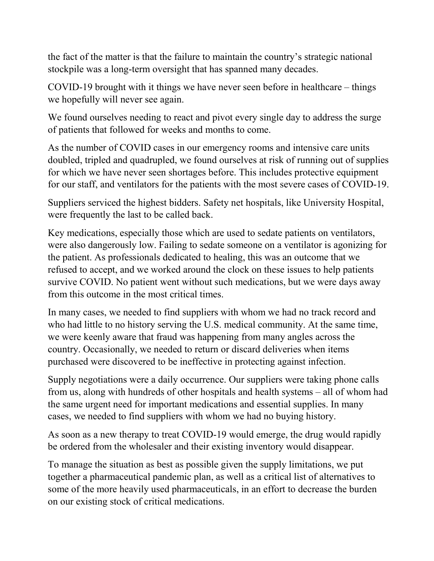the fact of the matter is that the failure to maintain the country's strategic national stockpile was a long-term oversight that has spanned many decades.

COVID-19 brought with it things we have never seen before in healthcare – things we hopefully will never see again.

We found ourselves needing to react and pivot every single day to address the surge of patients that followed for weeks and months to come.

As the number of COVID cases in our emergency rooms and intensive care units doubled, tripled and quadrupled, we found ourselves at risk of running out of supplies for which we have never seen shortages before. This includes protective equipment for our staff, and ventilators for the patients with the most severe cases of COVID-19.

Suppliers serviced the highest bidders. Safety net hospitals, like University Hospital, were frequently the last to be called back.

Key medications, especially those which are used to sedate patients on ventilators, were also dangerously low. Failing to sedate someone on a ventilator is agonizing for the patient. As professionals dedicated to healing, this was an outcome that we refused to accept, and we worked around the clock on these issues to help patients survive COVID. No patient went without such medications, but we were days away from this outcome in the most critical times.

In many cases, we needed to find suppliers with whom we had no track record and who had little to no history serving the U.S. medical community. At the same time, we were keenly aware that fraud was happening from many angles across the country. Occasionally, we needed to return or discard deliveries when items purchased were discovered to be ineffective in protecting against infection.

Supply negotiations were a daily occurrence. Our suppliers were taking phone calls from us, along with hundreds of other hospitals and health systems – all of whom had the same urgent need for important medications and essential supplies. In many cases, we needed to find suppliers with whom we had no buying history.

As soon as a new therapy to treat COVID-19 would emerge, the drug would rapidly be ordered from the wholesaler and their existing inventory would disappear.

To manage the situation as best as possible given the supply limitations, we put together a pharmaceutical pandemic plan, as well as a critical list of alternatives to some of the more heavily used pharmaceuticals, in an effort to decrease the burden on our existing stock of critical medications.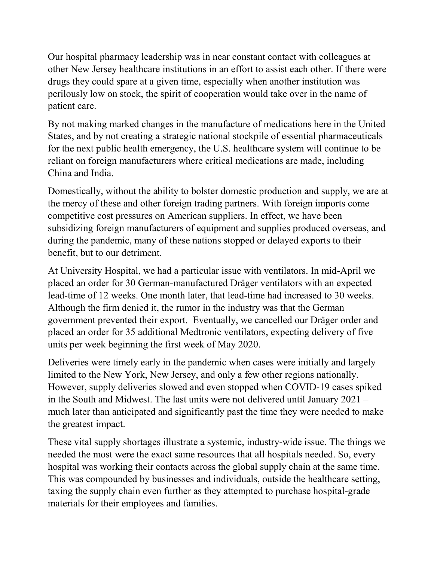Our hospital pharmacy leadership was in near constant contact with colleagues at other New Jersey healthcare institutions in an effort to assist each other. If there were drugs they could spare at a given time, especially when another institution was perilously low on stock, the spirit of cooperation would take over in the name of patient care.

By not making marked changes in the manufacture of medications here in the United States, and by not creating a strategic national stockpile of essential pharmaceuticals for the next public health emergency, the U.S. healthcare system will continue to be reliant on foreign manufacturers where critical medications are made, including China and India.

Domestically, without the ability to bolster domestic production and supply, we are at the mercy of these and other foreign trading partners. With foreign imports come competitive cost pressures on American suppliers. In effect, we have been subsidizing foreign manufacturers of equipment and supplies produced overseas, and during the pandemic, many of these nations stopped or delayed exports to their benefit, but to our detriment.

At University Hospital, we had a particular issue with ventilators. In mid-April we placed an order for 30 German-manufactured Dräger ventilators with an expected lead-time of 12 weeks. One month later, that lead-time had increased to 30 weeks. Although the firm denied it, the rumor in the industry was that the German government prevented their export. Eventually, we cancelled our Dräger order and placed an order for 35 additional Medtronic ventilators, expecting delivery of five units per week beginning the first week of May 2020.

Deliveries were timely early in the pandemic when cases were initially and largely limited to the New York, New Jersey, and only a few other regions nationally. However, supply deliveries slowed and even stopped when COVID-19 cases spiked in the South and Midwest. The last units were not delivered until January 2021 – much later than anticipated and significantly past the time they were needed to make the greatest impact.

These vital supply shortages illustrate a systemic, industry-wide issue. The things we needed the most were the exact same resources that all hospitals needed. So, every hospital was working their contacts across the global supply chain at the same time. This was compounded by businesses and individuals, outside the healthcare setting, taxing the supply chain even further as they attempted to purchase hospital-grade materials for their employees and families.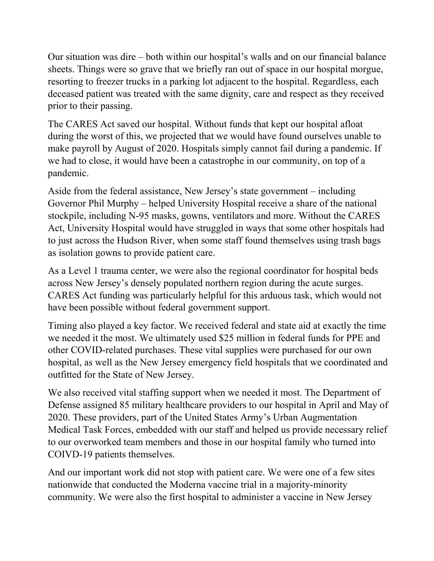Our situation was dire – both within our hospital's walls and on our financial balance sheets. Things were so grave that we briefly ran out of space in our hospital morgue, resorting to freezer trucks in a parking lot adjacent to the hospital. Regardless, each deceased patient was treated with the same dignity, care and respect as they received prior to their passing.

The CARES Act saved our hospital. Without funds that kept our hospital afloat during the worst of this, we projected that we would have found ourselves unable to make payroll by August of 2020. Hospitals simply cannot fail during a pandemic. If we had to close, it would have been a catastrophe in our community, on top of a pandemic.

Aside from the federal assistance, New Jersey's state government – including Governor Phil Murphy – helped University Hospital receive a share of the national stockpile, including N-95 masks, gowns, ventilators and more. Without the CARES Act, University Hospital would have struggled in ways that some other hospitals had to just across the Hudson River, when some staff found themselves using trash bags as isolation gowns to provide patient care.

As a Level 1 trauma center, we were also the regional coordinator for hospital beds across New Jersey's densely populated northern region during the acute surges. CARES Act funding was particularly helpful for this arduous task, which would not have been possible without federal government support.

Timing also played a key factor. We received federal and state aid at exactly the time we needed it the most. We ultimately used \$25 million in federal funds for PPE and other COVID-related purchases. These vital supplies were purchased for our own hospital, as well as the New Jersey emergency field hospitals that we coordinated and outfitted for the State of New Jersey.

We also received vital staffing support when we needed it most. The Department of Defense assigned 85 military healthcare providers to our hospital in April and May of 2020. These providers, part of the United States Army's Urban Augmentation Medical Task Forces, embedded with our staff and helped us provide necessary relief to our overworked team members and those in our hospital family who turned into COIVD-19 patients themselves.

And our important work did not stop with patient care. We were one of a few sites nationwide that conducted the Moderna vaccine trial in a majority-minority community. We were also the first hospital to administer a vaccine in New Jersey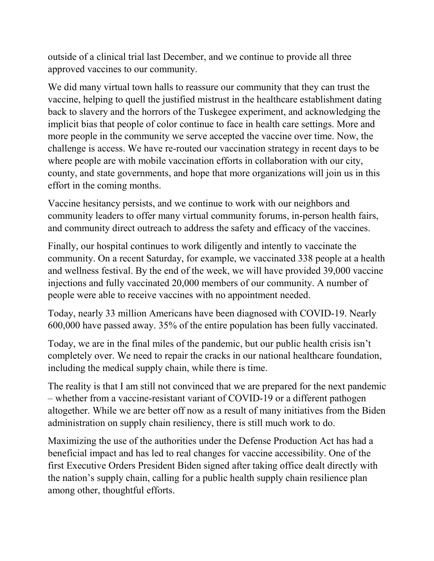outside of a clinical trial last December, and we continue to provide all three approved vaccines to our community.

We did many virtual town halls to reassure our community that they can trust the vaccine, helping to quell the justified mistrust in the healthcare establishment dating back to slavery and the horrors of the Tuskegee experiment, and acknowledging the implicit bias that people of color continue to face in health care settings. More and more people in the community we serve accepted the vaccine over time. Now, the challenge is access. We have re-routed our vaccination strategy in recent days to be where people are with mobile vaccination efforts in collaboration with our city, county, and state governments, and hope that more organizations will join us in this effort in the coming months.

Vaccine hesitancy persists, and we continue to work with our neighbors and community leaders to offer many virtual community forums, in-person health fairs, and community direct outreach to address the safety and efficacy of the vaccines.

Finally, our hospital continues to work diligently and intently to vaccinate the community. On a recent Saturday, for example, we vaccinated 338 people at a health and wellness festival. By the end of the week, we will have provided 39,000 vaccine injections and fully vaccinated 20,000 members of our community. A number of people were able to receive vaccines with no appointment needed.

Today, nearly 33 million Americans have been diagnosed with COVID-19. Nearly 600,000 have passed away. 35% of the entire population has been fully vaccinated.

Today, we are in the final miles of the pandemic, but our public health crisis isn't completely over. We need to repair the cracks in our national healthcare foundation, including the medical supply chain, while there is time.

The reality is that I am still not convinced that we are prepared for the next pandemic – whether from a vaccine-resistant variant of COVID-19 or a different pathogen altogether. While we are better off now as a result of many initiatives from the Biden administration on supply chain resiliency, there is still much work to do.

Maximizing the use of the authorities under the Defense Production Act has had a beneficial impact and has led to real changes for vaccine accessibility. One of the first Executive Orders President Biden signed after taking office dealt directly with the nation's supply chain, calling for a public health supply chain resilience plan among other, thoughtful efforts.